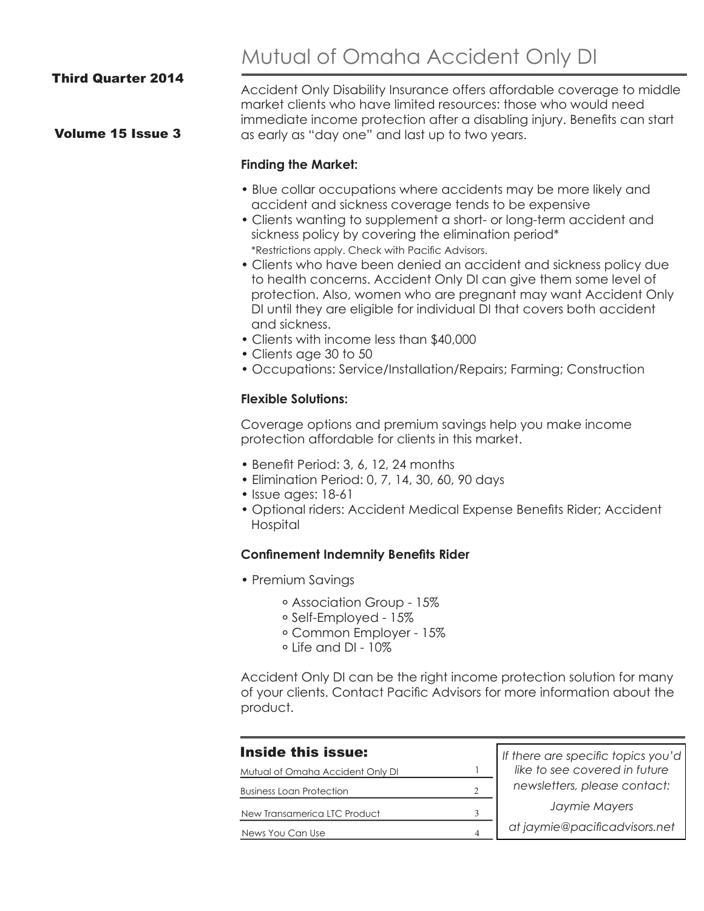#### Third Quarter 2014

#### Volume 15 Issue 3

Mutual of Omaha Accident Only DI

Accident Only Disability Insurance offers affordable coverage to middle market clients who have limited resources: those who would need immediate income protection after a disabling injury. Benefits can start as early as "day one" and last up to two years.

#### **Finding the Market:**

- Blue collar occupations where accidents may be more likely and accident and sickness coverage tends to be expensive
- Clients wanting to supplement a short- or long-term accident and sickness policy by covering the elimination period\* \*Restrictions apply. Check with Pacific Advisors.
- Clients who have been denied an accident and sickness policy due to health concerns. Accident Only DI can give them some level of protection. Also, women who are pregnant may want Accident Only DI until they are eligible for individual DI that covers both accident and sickness.
- Clients with income less than \$40,000
- Clients age 30 to 50
- Occupations: Service/Installation/Repairs; Farming; Construction

#### **Flexible Solutions:**

Coverage options and premium savings help you make income protection affordable for clients in this market.

- Benefit Period: 3, 6, 12, 24 months
- Elimination Period: 0, 7, 14, 30, 60, 90 days
- Issue ages: 18-61
- Optional riders: Accident Medical Expense Benefits Rider; Accident Hospital

#### **Confinement Indemnity Benefits Rider**

- Premium Savings
	- ᐤ Association Group 15%
	- ᐤ Self-Employed 15%
	- ᐤ Common Employer 15%
	- $\circ$  Life and DI 10%

Accident Only DI can be the right income protection solution for many of your clients. Contact Pacific Advisors for more information about the product.

| <b>Inside this issue:</b>        |   | If there are specific topics you'd<br>like to see covered in future |
|----------------------------------|---|---------------------------------------------------------------------|
| Mutual of Omaha Accident Only DI |   |                                                                     |
| <b>Business Loan Protection</b>  |   | newsletters, please contact:                                        |
| New Transamerica LTC Product     |   | Jaymie Mayers                                                       |
| News You Can Use                 | 4 | at jaymie@pacificadvisors.net                                       |
|                                  |   |                                                                     |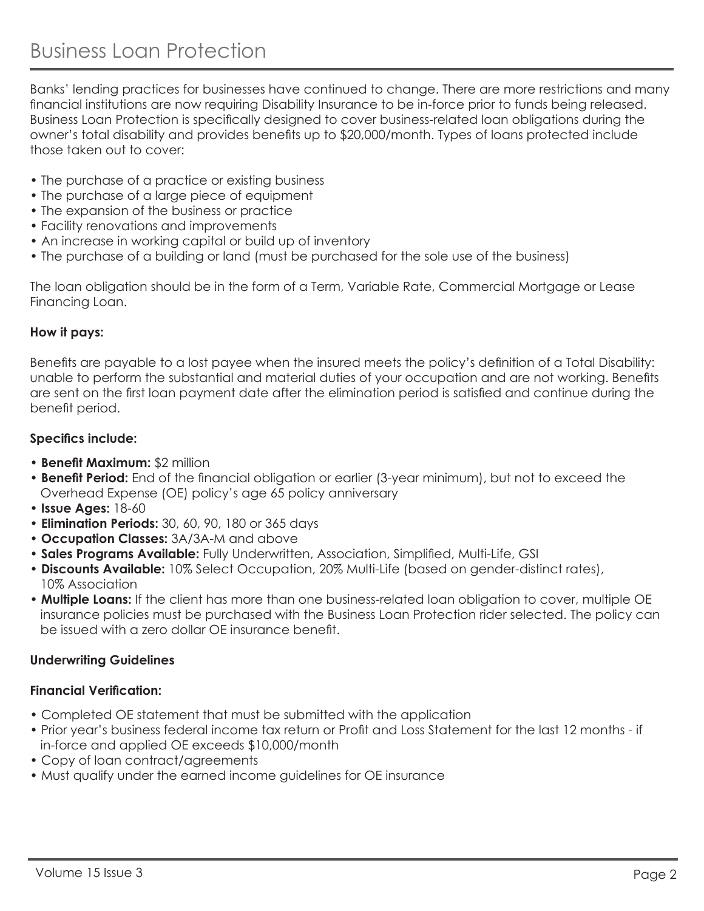Banks' lending practices for businesses have continued to change. There are more restrictions and many financial institutions are now requiring Disability Insurance to be in-force prior to funds being released. Business Loan Protection is specifically designed to cover business-related loan obligations during the owner's total disability and provides benefits up to \$20,000/month. Types of loans protected include those taken out to cover:

- The purchase of a practice or existing business
- The purchase of a large piece of equipment
- The expansion of the business or practice
- Facility renovations and improvements
- An increase in working capital or build up of inventory
- The purchase of a building or land (must be purchased for the sole use of the business)

The loan obligation should be in the form of a Term, Variable Rate, Commercial Mortgage or Lease Financing Loan.

## **How it pays:**

Benefits are payable to a lost payee when the insured meets the policy's definition of a Total Disability: unable to perform the substantial and material duties of your occupation and are not working. Benefits are sent on the first loan payment date after the elimination period is satisfied and continue during the benefit period.

## **Specifics include:**

- **Benefit Maximum:** \$2 million
- **Benefit Period:** End of the financial obligation or earlier (3-year minimum), but not to exceed the Overhead Expense (OE) policy's age 65 policy anniversary
- **Issue Ages:** 18-60
- **Elimination Periods:** 30, 60, 90, 180 or 365 days
- **Occupation Classes:** 3A/3A-M and above
- **Sales Programs Available:** Fully Underwritten, Association, Simplified, Multi-Life, GSI
- **Discounts Available:** 10% Select Occupation, 20% Multi-Life (based on gender-distinct rates), 10% Association
- **Multiple Loans:** If the client has more than one business-related loan obligation to cover, multiple OE insurance policies must be purchased with the Business Loan Protection rider selected. The policy can be issued with a zero dollar OF insurance benefit

## **Underwriting Guidelines**

## **Financial Verification:**

- Completed OE statement that must be submitted with the application
- Prior year's business federal income tax return or Profit and Loss Statement for the last 12 months if in-force and applied OE exceeds \$10,000/month
- Copy of loan contract/agreements
- Must qualify under the earned income guidelines for OE insurance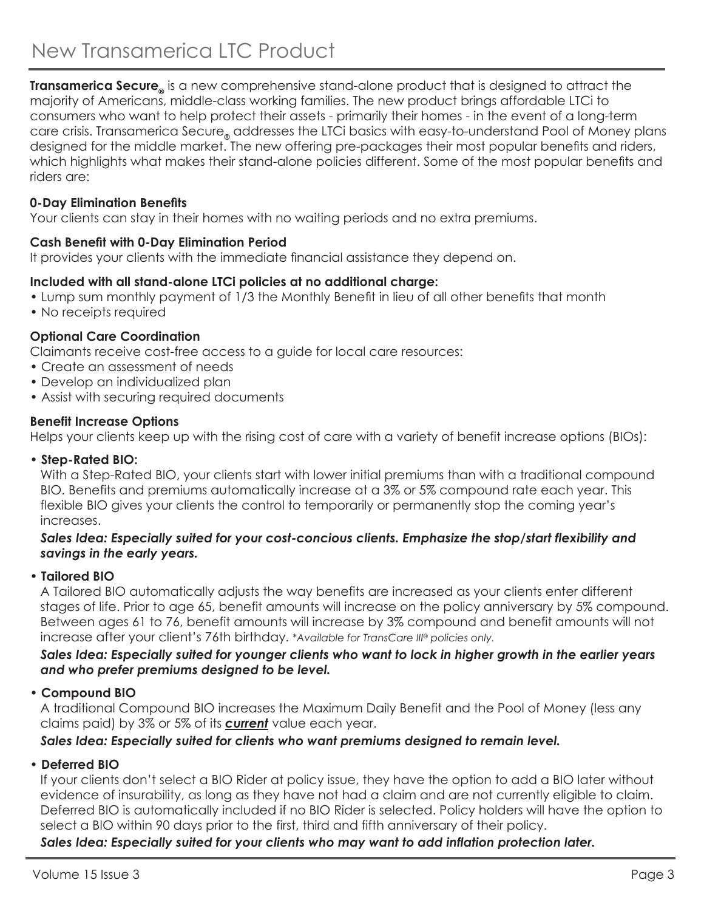**Transamerica Secure** is a new comprehensive stand-alone product that is designed to attract the majority of Americans, middle-class working families. The new product brings affordable LTCi to consumers who want to help protect their assets - primarily their homes - in the event of a long-term care crisis. Transamerica Secure<sub>®</sub> addresses the LTCi basics with easy-to-understand Pool of Money plans designed for the middle market. The new offering pre-packages their most popular benefits and riders, which highlights what makes their stand-alone policies different. Some of the most popular benefits and riders are:

# **0-Day Elimination Benefits**

Your clients can stay in their homes with no waiting periods and no extra premiums.

## **Cash Benefit with 0-Day Elimination Period**

It provides your clients with the immediate financial assistance they depend on.

## **Included with all stand-alone LTCi policies at no additional charge:**

- Lump sum monthly payment of 1/3 the Monthly Benefit in lieu of all other benefits that month
- No receipts required

## **Optional Care Coordination**

Claimants receive cost-free access to a guide for local care resources:

- Create an assessment of needs
- Develop an individualized plan
- Assist with securing required documents

## **Benefit Increase Options**

Helps your clients keep up with the rising cost of care with a variety of benefit increase options (BIOs):

## • **Step-Rated BIO:**

With a Step-Rated BIO, your clients start with lower initial premiums than with a traditional compound BIO. Benefits and premiums automatically increase at a 3% or 5% compound rate each year. This flexible BIO gives your clients the control to temporarily or permanently stop the coming year's increases.

## *Sales Idea: Especially suited for your cost-concious clients. Emphasize the stop/start flexibility and savings in the early years.*

## • **Tailored BIO**

 A Tailored BIO automatically adjusts the way benefits are increased as your clients enter different stages of life. Prior to age 65, benefit amounts will increase on the policy anniversary by 5% compound. Between ages 61 to 76, benefit amounts will increase by 3% compound and benefit amounts will not increase after your client's 76th birthday. *\*Available for TransCare III® policies only.*

## *Sales Idea: Especially suited for younger clients who want to lock in higher growth in the earlier years and who prefer premiums designed to be level.*

# • **Compound BIO**

 A traditional Compound BIO increases the Maximum Daily Benefit and the Pool of Money (less any claims paid) by 3% or 5% of its *current* value each year.

# *Sales Idea: Especially suited for clients who want premiums designed to remain level.*

# • **Deferred BIO**

 If your clients don't select a BIO Rider at policy issue, they have the option to add a BIO later without evidence of insurability, as long as they have not had a claim and are not currently eligible to claim. Deferred BIO is automatically included if no BIO Rider is selected. Policy holders will have the option to select a BIO within 90 days prior to the first, third and fifth anniversary of their policy.

# *Sales Idea: Especially suited for your clients who may want to add inflation protection later.*